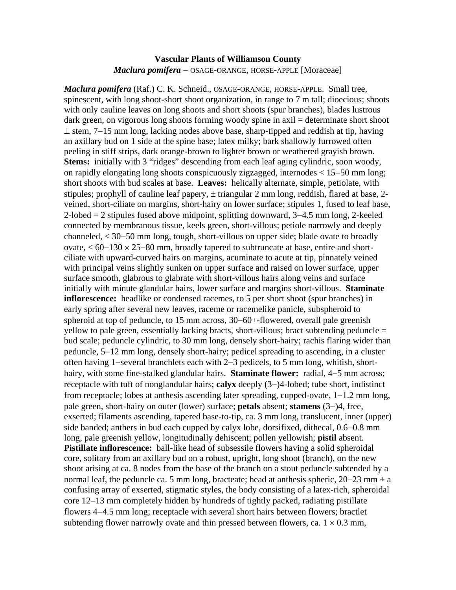## **Vascular Plants of Williamson County**  *Maclura pomifera* − OSAGE-ORANGE, HORSE-APPLE [Moraceae]

*Maclura pomifera* (Raf.) C. K. Schneid., OSAGE-ORANGE, HORSE-APPLE. Small tree, spinescent, with long shoot-short shoot organization, in range to 7 m tall; dioecious; shoots with only cauline leaves on long shoots and short shoots (spur branches), blades lustrous dark green, on vigorous long shoots forming woody spine in axil = determinate short shoot ⊥ stem, 7−15 mm long, lacking nodes above base, sharp-tipped and reddish at tip, having an axillary bud on 1 side at the spine base; latex milky; bark shallowly furrowed often peeling in stiff strips, dark orange-brown to lighter brown or weathered grayish brown. **Stems:** initially with 3 "ridges" descending from each leaf aging cylindric, soon woody, on rapidly elongating long shoots conspicuously zigzagged, internodes < 15−50 mm long; short shoots with bud scales at base. **Leaves:** helically alternate, simple, petiolate, with stipules; prophyll of cauline leaf papery,  $\pm$  triangular 2 mm long, reddish, flared at base, 2veined, short-ciliate on margins, short-hairy on lower surface; stipules 1, fused to leaf base, 2-lobed = 2 stipules fused above midpoint, splitting downward, 3−4.5 mm long, 2-keeled connected by membranous tissue, keels green, short-villous; petiole narrowly and deeply channeled, < 30−50 mm long, tough, short-villous on upper side; blade ovate to broadly ovate, < 60−130 × 25−80 mm, broadly tapered to subtruncate at base, entire and shortciliate with upward-curved hairs on margins, acuminate to acute at tip, pinnately veined with principal veins slightly sunken on upper surface and raised on lower surface, upper surface smooth, glabrous to glabrate with short-villous hairs along veins and surface initially with minute glandular hairs, lower surface and margins short-villous. **Staminate inflorescence:** headlike or condensed racemes, to 5 per short shoot (spur branches) in early spring after several new leaves, raceme or racemelike panicle, subspheroid to spheroid at top of peduncle, to 15 mm across, 30−60+-flowered, overall pale greenish yellow to pale green, essentially lacking bracts, short-villous; bract subtending peduncle = bud scale; peduncle cylindric, to 30 mm long, densely short-hairy; rachis flaring wider than peduncle, 5−12 mm long, densely short-hairy; pedicel spreading to ascending, in a cluster often having 1−several branchlets each with 2−3 pedicels, to 5 mm long, whitish, shorthairy, with some fine-stalked glandular hairs. **Staminate flower:** radial, 4−5 mm across; receptacle with tuft of nonglandular hairs; **calyx** deeply (3−)4-lobed; tube short, indistinct from receptacle; lobes at anthesis ascending later spreading, cupped-ovate, 1−1.2 mm long, pale green, short-hairy on outer (lower) surface; **petals** absent; **stamens** (3−)4, free, exserted; filaments ascending, tapered base-to-tip, ca. 3 mm long, translucent, inner (upper) side banded; anthers in bud each cupped by calyx lobe, dorsifixed, dithecal, 0.6−0.8 mm long, pale greenish yellow, longitudinally dehiscent; pollen yellowish; **pistil** absent. **Pistillate inflorescence:** ball-like head of subsessile flowers having a solid spheroidal core, solitary from an axillary bud on a robust, upright, long shoot (branch), on the new shoot arising at ca. 8 nodes from the base of the branch on a stout peduncle subtended by a normal leaf, the peduncle ca. 5 mm long, bracteate; head at anthesis spheric, 20−23 mm + a confusing array of exserted, stigmatic styles, the body consisting of a latex-rich, spheroidal core 12−13 mm completely hidden by hundreds of tightly packed, radiating pistillate flowers 4−4.5 mm long; receptacle with several short hairs between flowers; bractlet subtending flower narrowly ovate and thin pressed between flowers, ca.  $1 \times 0.3$  mm,